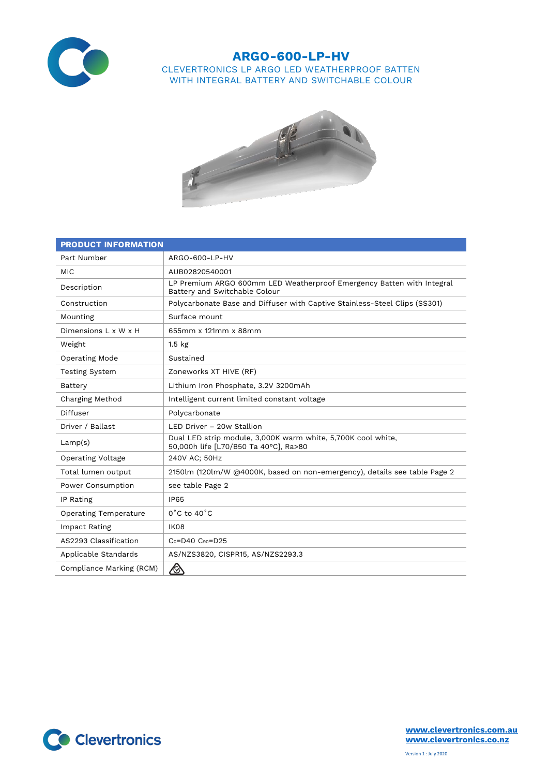

## **ARGO-600-LP-HV** CLEVERTRONICS LP ARGO LED WEATHERPROOF BATTEN WITH INTEGRAL BATTERY AND SWITCHABLE COLOUR



| <b>PRODUCT INFORMATION</b> |                                                                                                        |  |  |
|----------------------------|--------------------------------------------------------------------------------------------------------|--|--|
| Part Number                | ARGO-600-LP-HV                                                                                         |  |  |
| <b>MIC</b>                 | AUB02820540001                                                                                         |  |  |
| Description                | LP Premium ARGO 600mm LED Weatherproof Emergency Batten with Integral<br>Battery and Switchable Colour |  |  |
| Construction               | Polycarbonate Base and Diffuser with Captive Stainless-Steel Clips (SS301)                             |  |  |
| Mounting                   | Surface mount                                                                                          |  |  |
| Dimensions L x W x H       | 655mm x 121mm x 88mm                                                                                   |  |  |
| Weight                     | 1.5 <sub>kg</sub>                                                                                      |  |  |
| Operating Mode             | Sustained                                                                                              |  |  |
| <b>Testing System</b>      | Zoneworks XT HIVE (RF)                                                                                 |  |  |
| Battery                    | Lithium Iron Phosphate, 3.2V 3200mAh                                                                   |  |  |
| Charging Method            | Intelligent current limited constant voltage                                                           |  |  |
| Diffuser                   | Polycarbonate                                                                                          |  |  |
| Driver / Ballast           | LED Driver - 20w Stallion                                                                              |  |  |
| Lamp(s)                    | Dual LED strip module, 3,000K warm white, 5,700K cool white,<br>50,000h life [L70/B50 Ta 40°C], Ra>80  |  |  |
| Operating Voltage          | 240V AC; 50Hz                                                                                          |  |  |
| Total lumen output         | 2150lm (120lm/W @4000K, based on non-emergency), details see table Page 2                              |  |  |
| Power Consumption          | see table Page 2                                                                                       |  |  |
| IP Rating                  | <b>IP65</b>                                                                                            |  |  |
| Operating Temperature      | $0^{\circ}$ C to 40 $^{\circ}$ C                                                                       |  |  |
| Impact Rating              | IK08                                                                                                   |  |  |
| AS2293 Classification      | $C_0 = D40 C_{90} = D25$                                                                               |  |  |
| Applicable Standards       | AS/NZS3820, CISPR15, AS/NZS2293.3                                                                      |  |  |
| Compliance Marking (RCM)   | ∕⊗                                                                                                     |  |  |